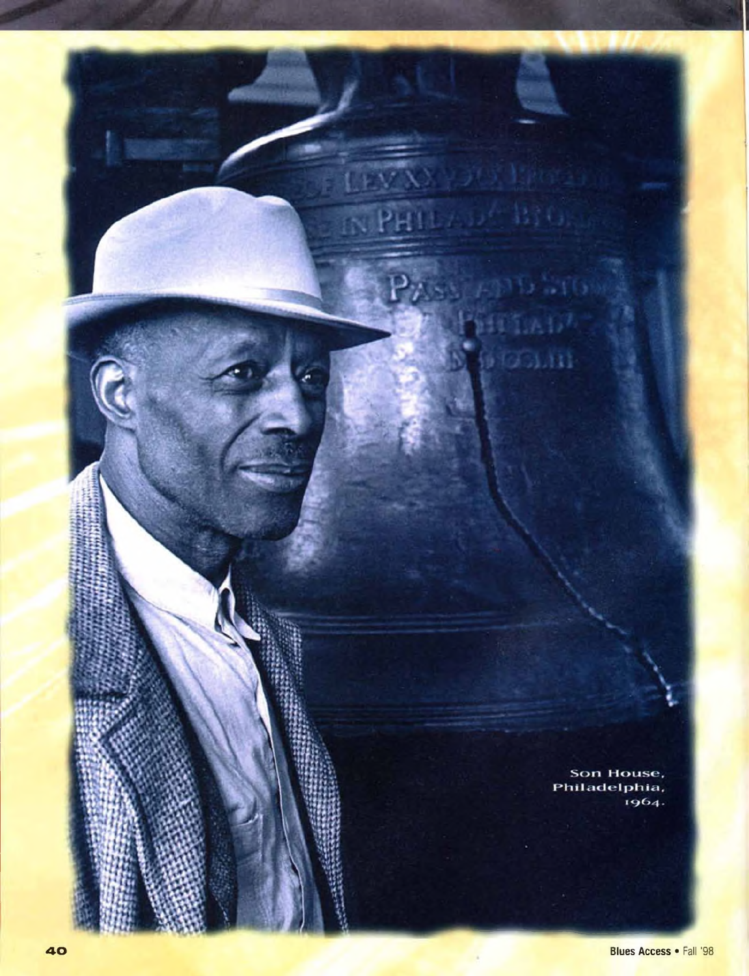

 $01.111$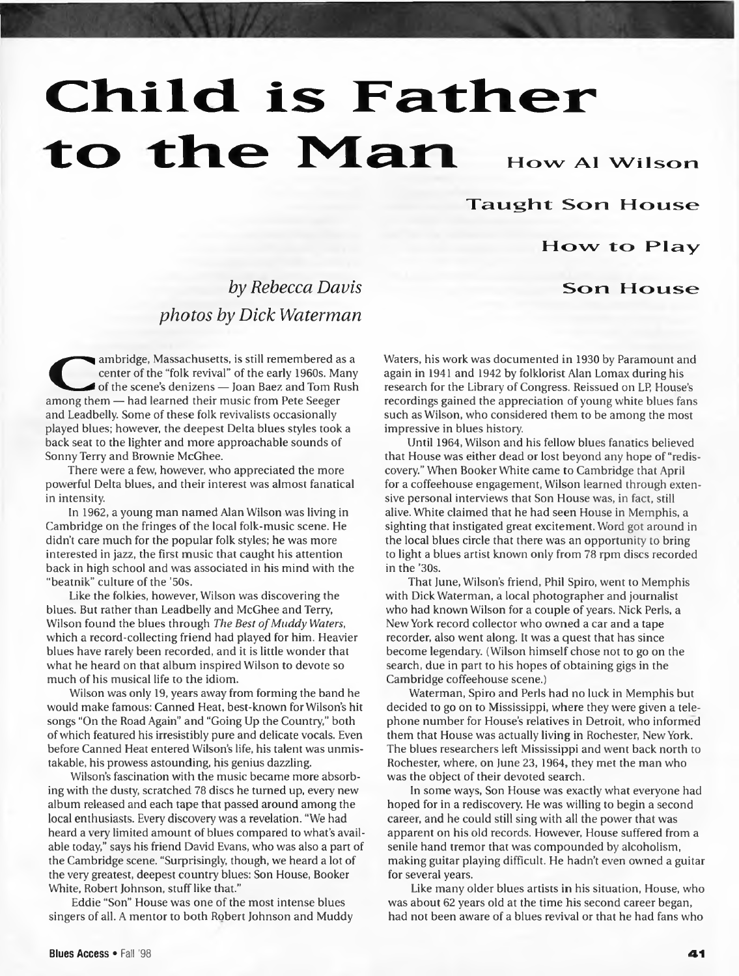# Child is Father to the Man How Al Wilson

Taught Son House

### How to Play

#### Son House

## *by Rebecca Davis photos by Dick Waterman*

ambridge, Massachusetts, is still remembered a<br>
center of the "folk revival" of the early 1960s. Ma<br>
among them — had learned their music from Pete Seeger ambridge, Massachusetts, is still remembered as a center of the "folk revival" of the early 1960s. Many of the scene's denizens — Joan Baez and Tom Rush and Leadbelly. Some of these folk revivalists occasionally played blues; however, the deepest Delta blues styles took a back seat to the lighter and more approachable sounds of Sonny Terry and Brownie McGhee.

There were a few, however, who appreciated the more powerful Delta blues, and their interest was almost fanatical in intensity.

In 1962, a young man named Alan Wilson was living in Cambridge on the fringes of the local folk-music scene. He didn't care much for the popular folk styles; he was more interested in jazz, the first music that caught his attention back in high school and was associated in his mind with the "beatnik" culture of the '50s.

Like the folkies, however, Wilson was discovering the blues. But rather than Leadbelly and McGhee and Terry, Wilson found the blues through *The Best of Muddy Waters*, which a record-collecting friend had played for him. Heavier blues have rarely been recorded, and it is little wonder that what he heard on that album inspired Wilson to devote so much of his musical life to the idiom.

Wilson was only 19, years away from forming the band he would make famous: Canned Heat, best-known for Wilson's hit songs "On the Road Again" and "Going Up the Country," both of which featured his irresistibly pure and delicate vocals. Even before Canned Heat entered Wilson's life, his talent was unmistakable, his prowess astounding, his genius dazzling.

Wilson's fascination with the music became more absorbing with the dusty, scratched 78 discs he turned up, every new album released and each tape that passed around among the local enthusiasts. Every discovery was a revelation. "We had heard a very limited amount of blues compared to what's available today," says his friend David Evans, who was also a part of the Cambridge scene. "Surprisingly, though, we heard a lot of the very greatest, deepest country blues: Son House, Booker White, Robert Johnson, stuff like that."

Eddie "Son" House was one of the most intense blues singers of all. A mentor to both Robert Johnson and Muddy Waters, his work was documented in 1930 by Paramount and again in 1941 and 1942 by folklorist Alan Lomax during his research for the Library of Congress. Reissued on LP, House's recordings gained the appreciation of young white blues fans such as Wilson, who considered them to be among the most impressive in blues history.

Until 1964, Wilson and his fellow blues fanatics believed that House was either dead or lost beyond any hope of "rediscovery." When Booker White came to Cambridge that April for a coffeehouse engagement, Wilson learned through extensive personal interviews that Son House was, in fact, still alive. White claimed that he had seen House in Memphis, a sighting that instigated great excitement. Word got around in the local blues circle that there was an opportunity to bring to light a blues artist known only from 78 rpm discs recorded in the '30s.

That June, Wilson's friend, Phil Spiro, went to Memphis with Dick Waterman, a local photographer and journalist who had known Wilson for a couple of years. Nick Perls, a New York record collector who owned a car and a tape recorder, also went along. It was a quest that has since become legendary. (Wilson himself chose not to go on the search, due in part to his hopes of obtaining gigs in the Cambridge coffeehouse scene. )

Waterman, Spiro and Perls had no luck in Memphis but decided to go on to Mississippi, where they were given a telephone number for House's relatives in Detroit, who informed them that House was actually living in Rochester, New York. The blues researchers left Mississippi and went back north to Rochester, where, on June 23, 1964, they met the man who was the object of their devoted search.

In some ways, Son House was exactly what everyone had hoped for in a rediscovery. He was willing to begin a second career, and he could still sing with all the power that was apparent on his old records. However, House suffered from a senile hand tremor that was compounded by alcoholism, making guitar playing difficult. He hadn't even owned a guitar for several years.

Like many older blues artists in his situation, House, who was about 62 years old at the time his second career began, had not been aware of a blues revival or that he had fans who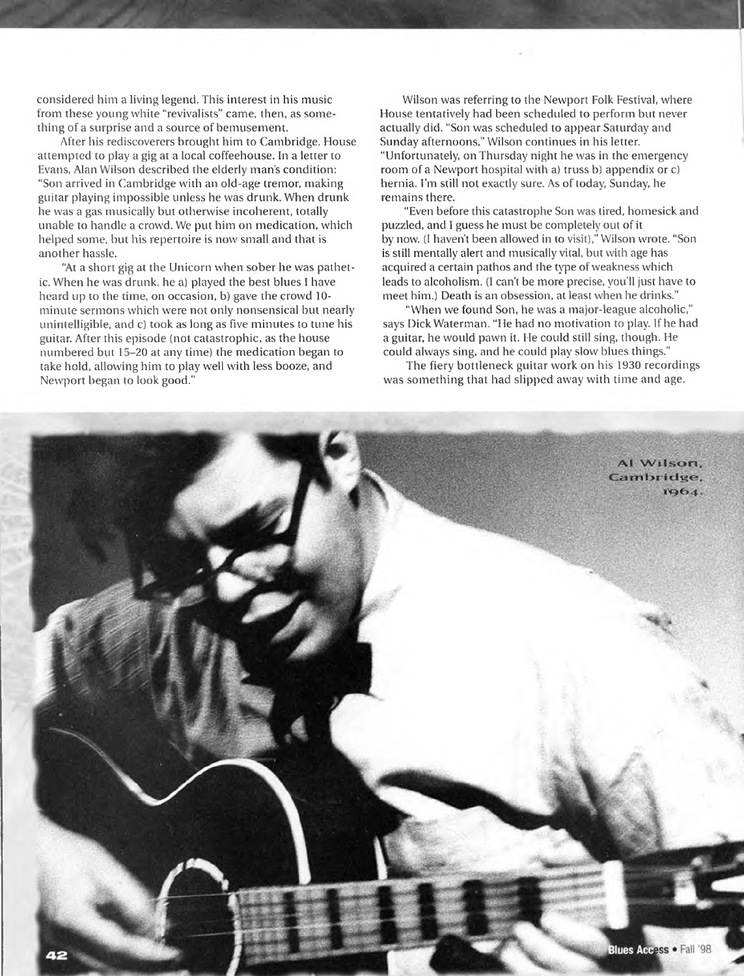considered him a living legend. This interest in his music from these young white "revivalists" came, then, as something of a surprise and a source of bemusement.

After his rediscoverers brought him to Cambridge, House attempted to play a gig at a local coffeehouse. In a letter to Evans, Alan Wilson described the elderly man's condition: "Son arrived in Cambridge with an old-age tremor, making guitar playing impossible unless he was drunk. When drunk he was a gas musically but otherwise incoherent, totally unable to handle a crowd. We put him on medication, which helped some, but his repertoire is now small and that is another hassle.

"At a short gig at the Unicorn when sober he was pathetic. When he was drunk, he a) played the best blues I have heard up to the time, on occasion, b) gave the crowd 10 minute sermons which were not only nonsensical but nearly unintelligible, and c) took as long as five minutes to tune his guitar. After this episode (not catastrophic, as the house numbered but 15-20 at any time) the medication began to take hold, allowing him to play well with less booze, and Newport began to look good. "

Wilson was referring to the Newport Folk Festival, where House tentatively had been scheduled to perform but never actually did. "Son was scheduled to appear Saturday and Sunday afternoons," Wilson continues in his letter. "Unfortunately, on Thursday night he was in the emergency room of a Newport hospital with a) truss b) appendix or c) hernia. I'm still not exactly sure. As of today, Sunday, he remains there.

"Even before this catastrophe Son was tired, homesick and puzzled, and I guess he must be completely out of it by now. (I haven't been allowed in to visit), " Wilson wrote. "Son is still mentally alert and musically vital, but with age has acquired a certain pathos and the type of weakness which leads to alcoholism. (I can't be more precise, you'll just have to meet him.) Death is an obsession, at least when he drinks."

"When we found Son, he was a major-league alcoholic," says Dick Waterman. "He had no motivation to play. If he had a guitar, he would pawn it. He could still sing, though. He could always sing, and he could play slow blues things. "

The fiery bottleneck guitar work on his 1930 recordings was something that had slipped away with time and age.